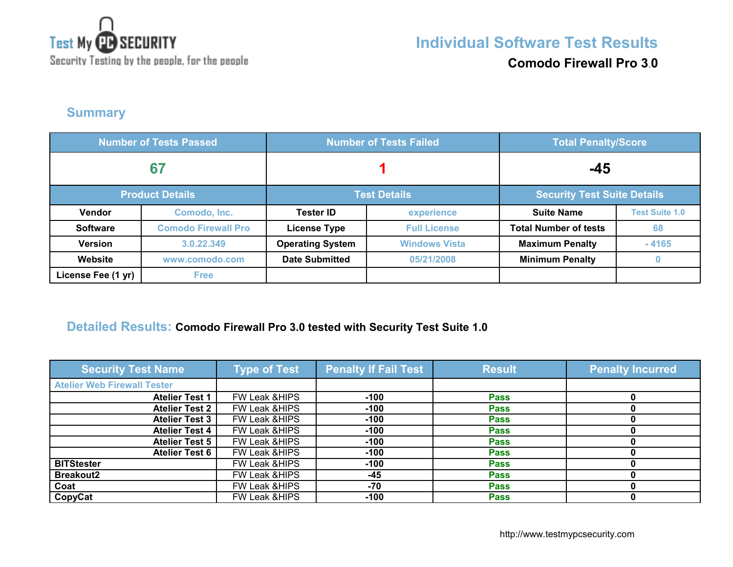

**Comodo Firewall Pro 3**.**0**

#### **Summary**

| <b>Number of Tests Passed</b> |                            | <b>Number of Tests Failed</b> |                      | <b>Total Penalty/Score</b>         |                       |
|-------------------------------|----------------------------|-------------------------------|----------------------|------------------------------------|-----------------------|
| 67                            |                            |                               |                      | -45                                |                       |
|                               | <b>Product Details</b>     | <b>Test Details</b>           |                      | <b>Security Test Suite Details</b> |                       |
| <b>Vendor</b>                 | Comodo, Inc.               | <b>Tester ID</b>              | experience           | <b>Suite Name</b>                  | <b>Test Suite 1.0</b> |
| <b>Software</b>               | <b>Comodo Firewall Pro</b> | <b>License Type</b>           | <b>Full License</b>  | <b>Total Number of tests</b>       | 68                    |
| <b>Version</b>                | 3.0.22.349                 | <b>Operating System</b>       | <b>Windows Vista</b> | <b>Maximum Penalty</b>             | $-4165$               |
| Website                       | www.comodo.com             | <b>Date Submitted</b>         | 05/21/2008           | <b>Minimum Penalty</b>             | $\bf{0}$              |
| License Fee (1 yr)            | <b>Free</b>                |                               |                      |                                    |                       |

#### **Detailed Results: Comodo Firewall Pro 3.0 tested with Security Test Suite 1.0**

| <b>Security Test Name</b>          | <b>Type of Test</b>      | <b>Penalty If Fail Test</b> | <b>Result</b> | <b>Penalty Incurred</b> |
|------------------------------------|--------------------------|-----------------------------|---------------|-------------------------|
| <b>Atelier Web Firewall Tester</b> |                          |                             |               |                         |
| <b>Atelier Test 1</b>              | FW Leak & HIPS           | $-100$                      | <b>Pass</b>   |                         |
| Atelier Test 2                     | FW Leak & HIPS           | $-100$                      | <b>Pass</b>   |                         |
| <b>Atelier Test 3</b>              | FW Leak & HIPS           | $-100$                      | <b>Pass</b>   |                         |
| <b>Atelier Test 4</b>              | FW Leak & HIPS           | $-100$                      | <b>Pass</b>   |                         |
| <b>Atelier Test 5</b>              | <b>FW Leak &amp;HIPS</b> | $-100$                      | <b>Pass</b>   |                         |
| <b>Atelier Test 6</b>              | FW Leak & HIPS           | $-100$                      | <b>Pass</b>   |                         |
| <b>BITStester</b>                  | <b>FW Leak &amp;HIPS</b> | $-100$                      | <b>Pass</b>   |                         |
| <b>Breakout2</b>                   | FW Leak &HIPS            | -45                         | <b>Pass</b>   |                         |
| Coat                               | <b>FW Leak &amp;HIPS</b> | -70                         | <b>Pass</b>   |                         |
| CopyCat                            | <b>FW Leak &amp;HIPS</b> | $-100$                      | <b>Pass</b>   |                         |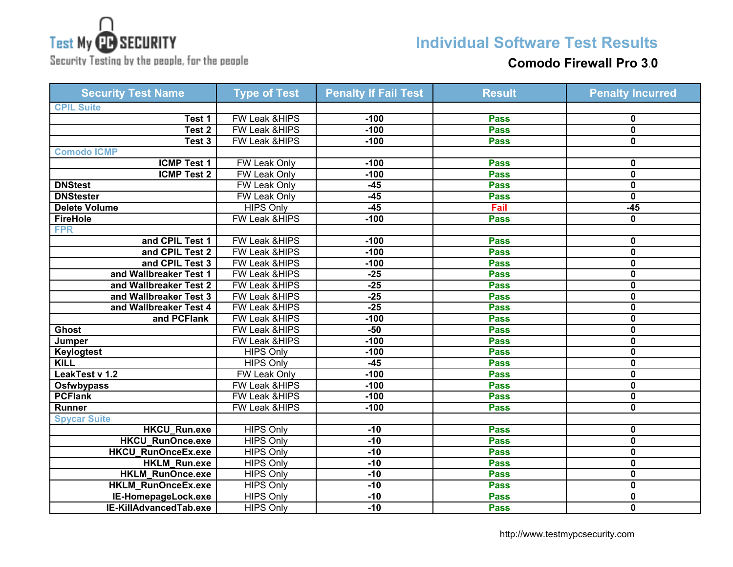

# **Individual Software Test Results**

Security Testing by the people, for the people

#### **Comodo Firewall Pro 3**.**0**

| <b>Security Test Name</b> | <b>Type of Test</b>      | <b>Penalty If Fail Test</b> | <b>Result</b> | <b>Penalty Incurred</b> |
|---------------------------|--------------------------|-----------------------------|---------------|-------------------------|
| <b>CPIL Suite</b>         |                          |                             |               |                         |
| Test 1                    | <b>FW Leak &amp;HIPS</b> | $-100$                      | <b>Pass</b>   | 0                       |
| Test 2                    | FW Leak &HIPS            | $-100$                      | <b>Pass</b>   | $\overline{\mathbf{0}}$ |
| Test 3                    | FW Leak &HIPS            | $-100$                      | <b>Pass</b>   | 0                       |
| <b>Comodo ICMP</b>        |                          |                             |               |                         |
| <b>ICMP Test 1</b>        | <b>FW Leak Only</b>      | $-100$                      | <b>Pass</b>   | 0                       |
| <b>ICMP Test 2</b>        | <b>FW Leak Only</b>      | $-100$                      | <b>Pass</b>   | $\mathbf 0$             |
| <b>DNStest</b>            | FW Leak Only             | $-45$                       | <b>Pass</b>   | 0                       |
| <b>DNStester</b>          | FW Leak Only             | $-45$                       | <b>Pass</b>   | $\mathbf 0$             |
| Delete Volume             | <b>HIPS Only</b>         | $-45$                       | Fail          | $-45$                   |
| <b>FireHole</b>           | FW Leak &HIPS            | $-100$                      | <b>Pass</b>   | 0                       |
| <b>FPR</b>                |                          |                             |               |                         |
| and CPIL Test 1           | FW Leak &HIPS            | $-100$                      | <b>Pass</b>   | 0                       |
| and CPIL Test 2           | FW Leak &HIPS            | $-100$                      | <b>Pass</b>   | $\mathbf 0$             |
| and CPIL Test 3           | <b>FW Leak &amp;HIPS</b> | $-100$                      | <b>Pass</b>   | $\mathbf 0$             |
| and Wallbreaker Test 1    | FW Leak &HIPS            | $-25$                       | <b>Pass</b>   | $\mathbf{0}$            |
| and Wallbreaker Test 2    | FW Leak &HIPS            | $-25$                       | <b>Pass</b>   | $\mathbf{0}$            |
| and Wallbreaker Test 3    | FW Leak &HIPS            | $-25$                       | <b>Pass</b>   | $\mathbf 0$             |
| and Wallbreaker Test 4    | <b>FW Leak &amp;HIPS</b> | $-25$                       | <b>Pass</b>   | $\mathbf 0$             |
| and PCFlank               | <b>FW Leak &amp;HIPS</b> | $-100$                      | <b>Pass</b>   | $\mathbf 0$             |
| <b>Ghost</b>              | <b>FW Leak &amp;HIPS</b> | $-50$                       | <b>Pass</b>   | $\mathbf{0}$            |
| Jumper                    | FW Leak &HIPS            | $-100$                      | <b>Pass</b>   | 0                       |
| <b>Keylogtest</b>         | <b>HIPS Only</b>         | $-100$                      | <b>Pass</b>   | 0                       |
| <b>KiLL</b>               | <b>HIPS Only</b>         | $-45$                       | <b>Pass</b>   | 0                       |
| LeakTest v 1.2            | FW Leak Only             | $-100$                      | <b>Pass</b>   | 0                       |
| Osfwbypass                | FW Leak &HIPS            | $-100$                      | <b>Pass</b>   | 0                       |
| <b>PCFlank</b>            | <b>FW Leak &amp;HIPS</b> | $-100$                      | <b>Pass</b>   | 0                       |
| <b>Runner</b>             | FW Leak &HIPS            | $-100$                      | <b>Pass</b>   | $\mathbf{0}$            |
| <b>Spycar Suite</b>       |                          |                             |               |                         |
| <b>HKCU_Run.exe</b>       | <b>HIPS Only</b>         | $-10$                       | <b>Pass</b>   | 0                       |
| <b>HKCU RunOnce.exe</b>   | <b>HIPS Only</b>         | $-10$                       | <b>Pass</b>   | $\mathbf 0$             |
| HKCU_RunOnceEx.exe        | <b>HIPS Only</b>         | $-10$                       | <b>Pass</b>   | 0                       |
| HKLM_Run.exe              | <b>HIPS Only</b>         | $-10$                       | <b>Pass</b>   | $\mathbf{0}$            |
| <b>HKLM RunOnce.exe</b>   | <b>HIPS Only</b>         | $-10$                       | <b>Pass</b>   | 0                       |
| <b>HKLM RunOnceEx.exe</b> | <b>HIPS Only</b>         | $-10$                       | <b>Pass</b>   | 0                       |
| IE-HomepageLock.exe       | <b>HIPS Only</b>         | $-10$                       | <b>Pass</b>   | 0                       |
| IE-KillAdvancedTab.exe    | <b>HIPS Only</b>         | $-10$                       | <b>Pass</b>   | 0                       |